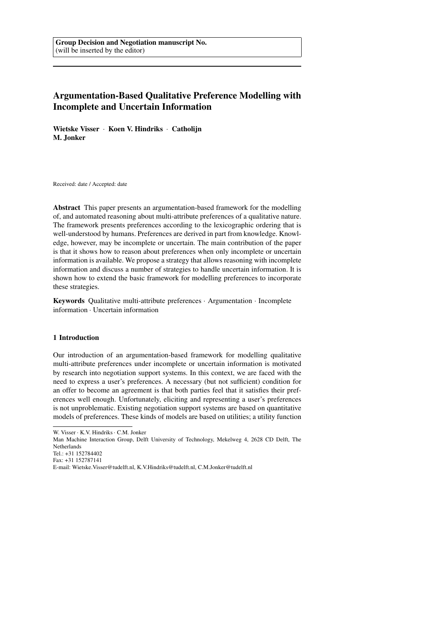# Argumentation-Based Qualitative Preference Modelling with Incomplete and Uncertain Information

Wietske Visser ⋅ Koen V. Hindriks ⋅ Catholijn M. Jonker

Received: date / Accepted: date

Abstract This paper presents an argumentation-based framework for the modelling of, and automated reasoning about multi-attribute preferences of a qualitative nature. The framework presents preferences according to the lexicographic ordering that is well-understood by humans. Preferences are derived in part from knowledge. Knowledge, however, may be incomplete or uncertain. The main contribution of the paper is that it shows how to reason about preferences when only incomplete or uncertain information is available. We propose a strategy that allows reasoning with incomplete information and discuss a number of strategies to handle uncertain information. It is shown how to extend the basic framework for modelling preferences to incorporate these strategies.

Keywords Qualitative multi-attribute preferences ⋅ Argumentation ⋅ Incomplete information ⋅ Uncertain information

# 1 Introduction

Our introduction of an argumentation-based framework for modelling qualitative multi-attribute preferences under incomplete or uncertain information is motivated by research into negotiation support systems. In this context, we are faced with the need to express a user's preferences. A necessary (but not sufficient) condition for an offer to become an agreement is that both parties feel that it satisfies their preferences well enough. Unfortunately, eliciting and representing a user's preferences is not unproblematic. Existing negotiation support systems are based on quantitative models of preferences. These kinds of models are based on utilities; a utility function

Fax: +31 152787141

W. Visser ⋅ K.V. Hindriks ⋅ C.M. Jonker

Man Machine Interaction Group, Delft University of Technology, Mekelweg 4, 2628 CD Delft, The Netherlands

Tel.: +31 152784402

E-mail: Wietske.Visser@tudelft.nl, K.V.Hindriks@tudelft.nl, C.M.Jonker@tudelft.nl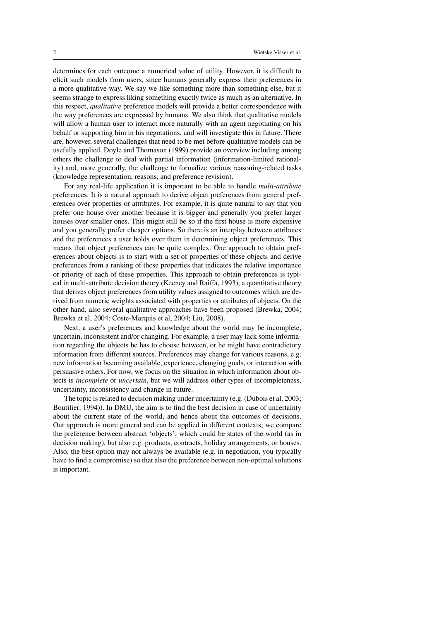determines for each outcome a numerical value of utility. However, it is difficult to elicit such models from users, since humans generally express their preferences in a more qualitative way. We say we like something more than something else, but it seems strange to express liking something exactly twice as much as an alternative. In this respect, *qualitative* preference models will provide a better correspondence with the way preferences are expressed by humans. We also think that qualitative models will allow a human user to interact more naturally with an agent negotiating on his behalf or supporting him in his negotations, and will investigate this in future. There are, however, several challenges that need to be met before qualitative models can be usefully applied. Doyle and Thomason (1999) provide an overview including among others the challenge to deal with partial information (information-limited rationality) and, more generally, the challenge to formalize various reasoning-related tasks (knowledge representation, reasons, and preference revision).

For any real-life application it is important to be able to handle *multi-attribute* preferences. It is a natural approach to derive object preferences from general preferences over properties or attributes. For example, it is quite natural to say that you prefer one house over another because it is bigger and generally you prefer larger houses over smaller ones. This might still be so if the first house is more expensive and you generally prefer cheaper options. So there is an interplay between attributes and the preferences a user holds over them in determining object preferences. This means that object preferences can be quite complex. One approach to obtain preferences about objects is to start with a set of properties of these objects and derive preferences from a ranking of these properties that indicates the relative importance or priority of each of these properties. This approach to obtain preferences is typical in multi-attribute decision theory (Keeney and Raiffa, 1993), a quantitative theory that derives object preferences from utility values assigned to outcomes which are derived from numeric weights associated with properties or attributes of objects. On the other hand, also several qualitative approaches have been proposed (Brewka, 2004; Brewka et al, 2004; Coste-Marquis et al, 2004; Liu, 2008).

Next, a user's preferences and knowledge about the world may be incomplete, uncertain, inconsistent and/or changing. For example, a user may lack some information regarding the objects he has to choose between, or he might have contradictory information from different sources. Preferences may change for various reasons, e.g. new information becoming available, experience, changing goals, or interaction with persuasive others. For now, we focus on the situation in which information about objects is *incomplete* or *uncertain*, but we will address other types of incompleteness, uncertainty, inconsistency and change in future.

The topic is related to decision making under uncertainty (e.g. (Dubois et al, 2003; Boutilier, 1994)). In DMU, the aim is to find the best decision in case of uncertainty about the current state of the world, and hence about the outcomes of decisions. Our approach is more general and can be applied in different contexts; we compare the preference between abstract 'objects', which could be states of the world (as in decision making), but also e.g. products, contracts, holiday arrangements, or houses. Also, the best option may not always be available (e.g. in negotiation, you typically have to find a compromise) so that also the preference between non-optimal solutions is important.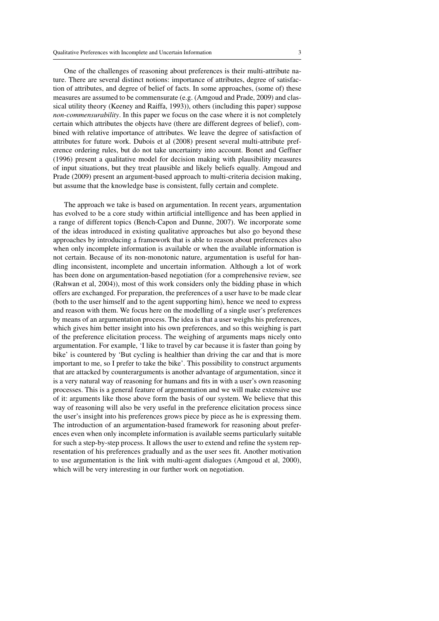One of the challenges of reasoning about preferences is their multi-attribute nature. There are several distinct notions: importance of attributes, degree of satisfaction of attributes, and degree of belief of facts. In some approaches, (some of) these measures are assumed to be commensurate (e.g. (Amgoud and Prade, 2009) and classical utility theory (Keeney and Raiffa, 1993)), others (including this paper) suppose *non-commensurability*. In this paper we focus on the case where it is not completely certain which attributes the objects have (there are different degrees of belief), combined with relative importance of attributes. We leave the degree of satisfaction of attributes for future work. Dubois et al (2008) present several multi-attribute preference ordering rules, but do not take uncertainty into account. Bonet and Geffner (1996) present a qualitative model for decision making with plausibility measures of input situations, but they treat plausible and likely beliefs equally. Amgoud and Prade (2009) present an argument-based approach to multi-criteria decision making, but assume that the knowledge base is consistent, fully certain and complete.

The approach we take is based on argumentation. In recent years, argumentation has evolved to be a core study within artificial intelligence and has been applied in a range of different topics (Bench-Capon and Dunne, 2007). We incorporate some of the ideas introduced in existing qualitative approaches but also go beyond these approaches by introducing a framework that is able to reason about preferences also when only incomplete information is available or when the available information is not certain. Because of its non-monotonic nature, argumentation is useful for handling inconsistent, incomplete and uncertain information. Although a lot of work has been done on argumentation-based negotiation (for a comprehensive review, see (Rahwan et al, 2004)), most of this work considers only the bidding phase in which offers are exchanged. For preparation, the preferences of a user have to be made clear (both to the user himself and to the agent supporting him), hence we need to express and reason with them. We focus here on the modelling of a single user's preferences by means of an argumentation process. The idea is that a user weighs his preferences, which gives him better insight into his own preferences, and so this weighing is part of the preference elicitation process. The weighing of arguments maps nicely onto argumentation. For example, 'I like to travel by car because it is faster than going by bike' is countered by 'But cycling is healthier than driving the car and that is more important to me, so I prefer to take the bike'. This possibility to construct arguments that are attacked by counterarguments is another advantage of argumentation, since it is a very natural way of reasoning for humans and fits in with a user's own reasoning processes. This is a general feature of argumentation and we will make extensive use of it: arguments like those above form the basis of our system. We believe that this way of reasoning will also be very useful in the preference elicitation process since the user's insight into his preferences grows piece by piece as he is expressing them. The introduction of an argumentation-based framework for reasoning about preferences even when only incomplete information is available seems particularly suitable for such a step-by-step process. It allows the user to extend and refine the system representation of his preferences gradually and as the user sees fit. Another motivation to use argumentation is the link with multi-agent dialogues (Amgoud et al, 2000), which will be very interesting in our further work on negotiation.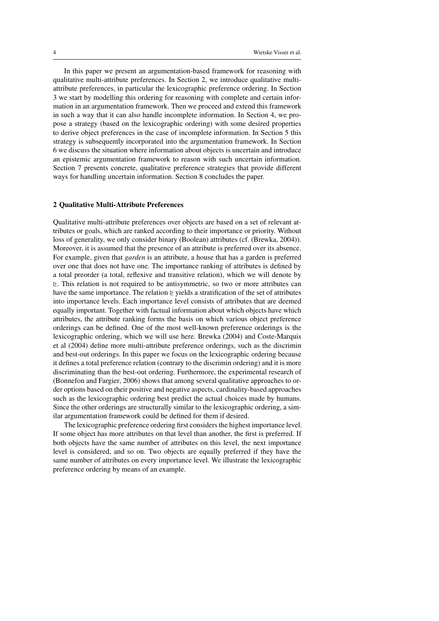In this paper we present an argumentation-based framework for reasoning with qualitative multi-attribute preferences. In Section 2, we introduce qualitative multiattribute preferences, in particular the lexicographic preference ordering. In Section 3 we start by modelling this ordering for reasoning with complete and certain information in an argumentation framework. Then we proceed and extend this framework in such a way that it can also handle incomplete information. In Section 4, we propose a strategy (based on the lexicographic ordering) with some desired properties to derive object preferences in the case of incomplete information. In Section 5 this strategy is subsequently incorporated into the argumentation framework. In Section 6 we discuss the situation where information about objects is uncertain and introduce an epistemic argumentation framework to reason with such uncertain information. Section 7 presents concrete, qualitative preference strategies that provide different ways for handling uncertain information. Section 8 concludes the paper.

# 2 Qualitative Multi-Attribute Preferences

Qualitative multi-attribute preferences over objects are based on a set of relevant attributes or goals, which are ranked according to their importance or priority. Without loss of generality, we only consider binary (Boolean) attributes (cf. (Brewka, 2004)). Moreover, it is assumed that the presence of an attribute is preferred over its absence. For example, given that *garden* is an attribute, a house that has a garden is preferred over one that does not have one. The importance ranking of attributes is defined by a total preorder (a total, reflexive and transitive relation), which we will denote by ⊵. This relation is not required to be antisymmetric, so two or more attributes can have the same importance. The relation ⊵ yields a stratification of the set of attributes into importance levels. Each importance level consists of attributes that are deemed equally important. Together with factual information about which objects have which attributes, the attribute ranking forms the basis on which various object preference orderings can be defined. One of the most well-known preference orderings is the lexicographic ordering, which we will use here. Brewka (2004) and Coste-Marquis et al (2004) define more multi-attribute preference orderings, such as the discrimin and best-out orderings. In this paper we focus on the lexicographic ordering because it defines a total preference relation (contrary to the discrimin ordering) and it is more discriminating than the best-out ordering. Furthermore, the experimental research of (Bonnefon and Fargier, 2006) shows that among several qualitative approaches to order options based on their positive and negative aspects, cardinality-based approaches such as the lexicographic ordering best predict the actual choices made by humans. Since the other orderings are structurally similar to the lexicographic ordering, a similar argumentation framework could be defined for them if desired.

The lexicographic preference ordering first considers the highest importance level. If some object has more attributes on that level than another, the first is preferred. If both objects have the same number of attributes on this level, the next importance level is considered, and so on. Two objects are equally preferred if they have the same number of attributes on every importance level. We illustrate the lexicographic preference ordering by means of an example.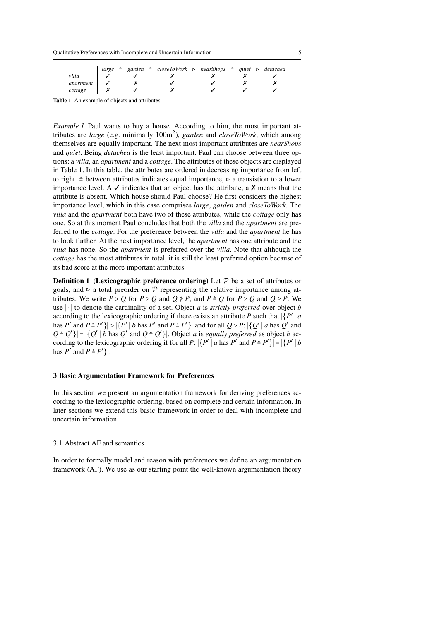|           |  | large $\triangleq$ garden $\triangleq$ closeToWork $\triangleright$ nearShops $\triangleq$ quiet $\triangleright$ detached |  |  |  |
|-----------|--|----------------------------------------------------------------------------------------------------------------------------|--|--|--|
| villa     |  |                                                                                                                            |  |  |  |
| apartment |  |                                                                                                                            |  |  |  |
| cottage   |  |                                                                                                                            |  |  |  |
|           |  |                                                                                                                            |  |  |  |

Table 1 An example of objects and attributes

*Example 1* Paul wants to buy a house. According to him, the most important attributes are *large* (e.g. minimally 100m<sup>2</sup> ), *garden* and *closeToWork*, which among themselves are equally important. The next most important attributes are *nearShops* and *quiet*. Being *detached* is the least important. Paul can choose between three options: a *villa*, an *apartment* and a *cottage*. The attributes of these objects are displayed in Table 1. In this table, the attributes are ordered in decreasing importance from left to right. ≜ between attributes indicates equal importance, ⊳ a transistion to a lower importance level. A  $\checkmark$  indicates that an object has the attribute, a  $\checkmark$  means that the attribute is absent. Which house should Paul choose? He first considers the highest importance level, which in this case comprises *large*, *garden* and *closeToWork*. The *villa* and the *apartment* both have two of these attributes, while the *cottage* only has one. So at this moment Paul concludes that both the *villa* and the *apartment* are preferred to the *cottage*. For the preference between the *villa* and the *apartment* he has to look further. At the next importance level, the *apartment* has one attribute and the *villa* has none. So the *apartment* is preferred over the *villa*. Note that although the *cottage* has the most attributes in total, it is still the least preferred option because of its bad score at the more important attributes.

**Definition 1** (Lexicographic preference ordering) Let  $P$  be a set of attributes or goals, and  $\geq$  a total preorder on  $\mathcal P$  representing the relative importance among attributes. We write  $P \triangleright Q$  for  $P \triangleright Q$  and  $Q \not\vdash P$ , and  $P \triangleq Q$  for  $P \triangleright Q$  and  $Q \triangleright P$ . We use ∣ ⋅ ∣ to denote the cardinality of a set. Object *a* is *strictly preferred* over object *b* according to the lexicographic ordering if there exists an attribute *P* such that  $\left|\frac{P'}{P}\right|$  *a* has  $P'$  and  $P \triangleq P'$ }| > |{ $P' | b$  has  $P'$  and  $P \triangleq P'$ }| and for all  $Q \triangleright P$ : |{ $Q' | a$  has  $Q'$  and  $Q \triangleq Q'$ } $| = |\{Q' | b \text{ has } Q' \text{ and } Q \triangleq Q'\}|$ . Object *a* is *equally preferred* as object *b* according to the lexicographic ordering if for all *P*:  $|\{P' | a \text{ has } P' \text{ and } P \triangleq P'\}| = |\{P' | b\}|\$ has  $P'$  and  $P \triangleq P'$  }|.

#### 3 Basic Argumentation Framework for Preferences

In this section we present an argumentation framework for deriving preferences according to the lexicographic ordering, based on complete and certain information. In later sections we extend this basic framework in order to deal with incomplete and uncertain information.

## 3.1 Abstract AF and semantics

In order to formally model and reason with preferences we define an argumentation framework (AF). We use as our starting point the well-known argumentation theory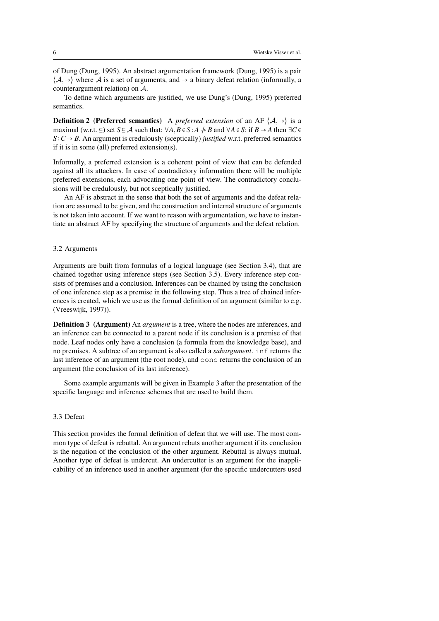of Dung (Dung, 1995). An abstract argumentation framework (Dung, 1995) is a pair  $\langle A,\rightarrow\rangle$  where A is a set of arguments, and  $\rightarrow$  a binary defeat relation (informally, a counterargument relation) on A.

To define which arguments are justified, we use Dung's (Dung, 1995) preferred semantics.

**Definition 2** (Preferred semantics) A *preferred extension* of an AF  $\langle A, \rightarrow \rangle$  is a maximal (w.r.t. ⊆) set *S* ⊆ *A* such that:  $\forall A, B \in S : A \neq B$  and  $\forall A \in S : \text{if } B \to A$  then  $\exists C \in A$  $S: C \rightarrow B$ . An argument is credulously (sceptically) *justified* w.r.t. preferred semantics if it is in some (all) preferred extension(s).

Informally, a preferred extension is a coherent point of view that can be defended against all its attackers. In case of contradictory information there will be multiple preferred extensions, each advocating one point of view. The contradictory conclusions will be credulously, but not sceptically justified.

An AF is abstract in the sense that both the set of arguments and the defeat relation are assumed to be given, and the construction and internal structure of arguments is not taken into account. If we want to reason with argumentation, we have to instantiate an abstract AF by specifying the structure of arguments and the defeat relation.

# 3.2 Arguments

Arguments are built from formulas of a logical language (see Section 3.4), that are chained together using inference steps (see Section 3.5). Every inference step consists of premises and a conclusion. Inferences can be chained by using the conclusion of one inference step as a premise in the following step. Thus a tree of chained inferences is created, which we use as the formal definition of an argument (similar to e.g. (Vreeswijk, 1997)).

Definition 3 (Argument) An *argument* is a tree, where the nodes are inferences, and an inference can be connected to a parent node if its conclusion is a premise of that node. Leaf nodes only have a conclusion (a formula from the knowledge base), and no premises. A subtree of an argument is also called a *subargument*. inf returns the last inference of an argument (the root node), and conc returns the conclusion of an argument (the conclusion of its last inference).

Some example arguments will be given in Example 3 after the presentation of the specific language and inference schemes that are used to build them.

# 3.3 Defeat

This section provides the formal definition of defeat that we will use. The most common type of defeat is rebuttal. An argument rebuts another argument if its conclusion is the negation of the conclusion of the other argument. Rebuttal is always mutual. Another type of defeat is undercut. An undercutter is an argument for the inapplicability of an inference used in another argument (for the specific undercutters used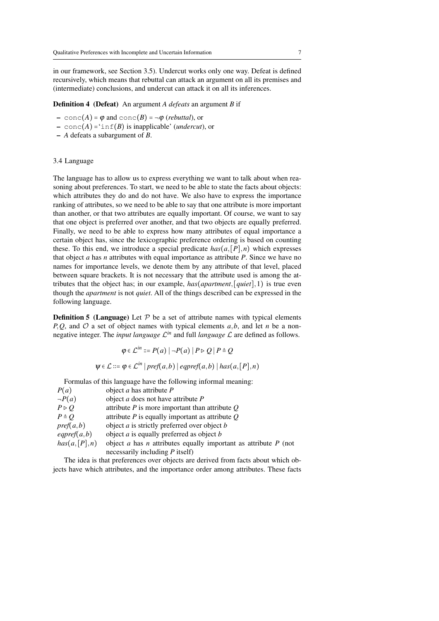in our framework, see Section 3.5). Undercut works only one way. Defeat is defined recursively, which means that rebuttal can attack an argument on all its premises and (intermediate) conclusions, and undercut can attack it on all its inferences.

Definition 4 (Defeat) An argument *A defeats* an argument *B* if

- $-$  conc(*A*) =  $\varphi$  and conc(*B*) =  $\neg \varphi$  (*rebuttal*), or
- conc(*A*) ='inf(*B*) is inapplicable' (*undercut*), or
- *A* defeats a subargument of *B*.

#### 3.4 Language

The language has to allow us to express everything we want to talk about when reasoning about preferences. To start, we need to be able to state the facts about objects: which attributes they do and do not have. We also have to express the importance ranking of attributes, so we need to be able to say that one attribute is more important than another, or that two attributes are equally important. Of course, we want to say that one object is preferred over another, and that two objects are equally preferred. Finally, we need to be able to express how many attributes of equal importance a certain object has, since the lexicographic preference ordering is based on counting these. To this end, we introduce a special predicate  $has(a, [P], n)$  which expresses that object *a* has *n* attributes with equal importance as attribute *P*. Since we have no names for importance levels, we denote them by any attribute of that level, placed between square brackets. It is not necessary that the attribute used is among the attributes that the object has; in our example, *has*(*apartment*,[*quiet*],1) is true even though the *apartment* is not *quiet*. All of the things described can be expressed in the following language.

**Definition 5** (Language) Let  $P$  be a set of attribute names with typical elements *P*,*Q*, and  $O$  a set of object names with typical elements  $a$ , $b$ , and let  $n$  be a nonnegative integer. The *input language*  $\mathcal{L}^{in}$  and full *language*  $\mathcal{L}$  are defined as follows.

$$
\varphi \in \mathcal{L}^{in} ::= P(a) | \neg P(a) | P \triangleright Q | P \triangleq Q
$$

$$
\psi \in \mathcal{L} ::= \varphi \in \mathcal{L}^{in} | pref(a,b) | eapref(a,b) | has(a, [P], n)
$$

Formulas of this language have the following informal meaning:

| P(a)                 | object $a$ has attribute $P$                                      |
|----------------------|-------------------------------------------------------------------|
| $\neg P(a)$          | object $a$ does not have attribute $P$                            |
| $P \triangleright Q$ | attribute $P$ is more important than attribute $Q$                |
| $P \triangleq O$     | attribute $P$ is equally important as attribute $Q$               |
| pref(a,b)            | object $a$ is strictly preferred over object $b$                  |
| eapref(a,b)          | object $a$ is equally preferred as object $b$                     |
| has(a,[P],n)         | object a has n attributes equally important as attribute $P$ (not |
|                      | necessarily including $P$ itself)                                 |

The idea is that preferences over objects are derived from facts about which objects have which attributes, and the importance order among attributes. These facts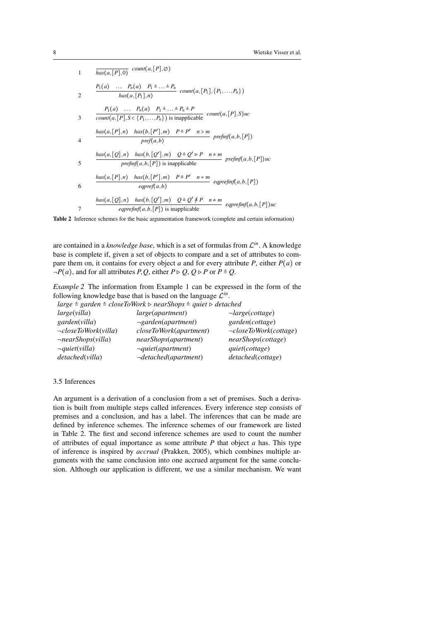| $\mathbf{1}$   | $\overline{has(a, [P], 0)}$ count $(a, [P], \emptyset)$                                                                                                                                           |
|----------------|---------------------------------------------------------------------------------------------------------------------------------------------------------------------------------------------------|
| 2              | $\frac{P_1(a) \dots P_n(a) \cdot P_1 \triangleq \dots \triangleq P_n}{has(a, [P_1], n)}$ count $(a, [P_1], \{P_1, \dots, P_n\})$                                                                  |
| 3              | $P_1(a)$ $P_n(a)$ $P_1 \triangleq  \triangleq P_n \triangleq P_n$<br><i>count</i> ( $a$ , $[P]$ , $S \subset \{P_1, \ldots, P_n\}$ ) is inapplicable <i>count</i> ( $a$ , $[P]$ , $S$ ) <i>uc</i> |
| $\overline{4}$ | $has(a, [P], n)$ $has(b, [P'], m)$ $P \triangleq P'$ $n > m$<br>$\longrightarrow$ prefinf(a, b, [P])<br>pref(a,b)                                                                                 |
| 5              | $has(a, [Q], n)$ $has(b, [Q'], m)$ $Q \triangleq Q' \triangleright P$ $n \neq m$<br>$\longrightarrow$ prefinf(a,b,[P])uc<br>$prefinf(a, b, [P])$ is inapplicable                                  |
| 6              | $has(a, [P], n)$ $has(b, [P'], m)$ $P \triangleq P'$ $n = m$<br>$\longrightarrow$ eqprefinf(a,b,[P])<br>eapref(a,b)                                                                               |
| 7              | $has(a, [Q], n)$ $has(b, [Q'], m)$ $Q \triangleq Q' \nless P$ $n \neq m$<br>eqprefinf $(a,b,[P])$ uc<br><i>eqprefinf</i> $(a, b, [P])$ is inapplicable                                            |

Table 2 Inference schemes for the basic argumentation framework (complete and certain information)

are contained in a *knowledge base*, which is a set of formulas from  $\mathcal{L}^{in}$ . A knowledge base is complete if, given a set of objects to compare and a set of attributes to compare them on, it contains for every object *a* and for every attribute *P*, either  $P(a)$  or  $\neg P(a)$ , and for all attributes *P*, *Q*, either  $P \triangleright Q$ ,  $Q \triangleright P$  or  $P \triangleq Q$ .

*Example 2* The information from Example 1 can be expressed in the form of the following knowledge base that is based on the language  $\mathcal{L}^{in}$ .

| large(villa)                              | large(apartment)           | $\neg large(cottage)$       |
|-------------------------------------------|----------------------------|-----------------------------|
| garden(villa)                             | $\neg garden(apartment)$   | garden(cottage)             |
| $\neg closeToWork(villa)$                 | closeToWork(apartment)     | $\neg closeToWork(cottage)$ |
| $\neg near\mathit{Shops}(\mathit{villa})$ | nearShops(apartment)       | nearShops(cottage)          |
| $\neg quiet(villa)$                       | $\neg quiet(apartment)$    | quiet(cottage)              |
| detached(villa)                           | $\neg detached(apartment)$ | detached(cottage)           |
|                                           |                            |                             |

#### 3.5 Inferences

An argument is a derivation of a conclusion from a set of premises. Such a derivation is built from multiple steps called inferences. Every inference step consists of premises and a conclusion, and has a label. The inferences that can be made are defined by inference schemes. The inference schemes of our framework are listed in Table 2. The first and second inference schemes are used to count the number of attributes of equal importance as some attribute *P* that object *a* has. This type of inference is inspired by *accrual* (Prakken, 2005), which combines multiple arguments with the same conclusion into one accrued argument for the same conclusion. Although our application is different, we use a similar mechanism. We want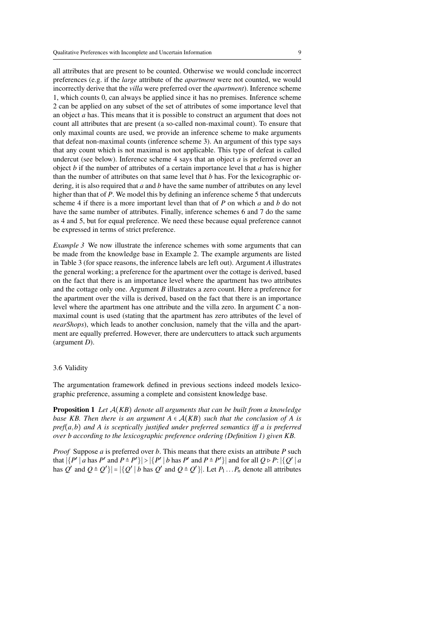all attributes that are present to be counted. Otherwise we would conclude incorrect preferences (e.g. if the *large* attribute of the *apartment* were not counted, we would incorrectly derive that the *villa* were preferred over the *apartment*). Inference scheme 1, which counts 0, can always be applied since it has no premises. Inference scheme 2 can be applied on any subset of the set of attributes of some importance level that an object *a* has. This means that it is possible to construct an argument that does not count all attributes that are present (a so-called non-maximal count). To ensure that only maximal counts are used, we provide an inference scheme to make arguments that defeat non-maximal counts (inference scheme 3). An argument of this type says that any count which is not maximal is not applicable. This type of defeat is called undercut (see below). Inference scheme 4 says that an object *a* is preferred over an object *b* if the number of attributes of a certain importance level that *a* has is higher than the number of attributes on that same level that *b* has. For the lexicographic ordering, it is also required that *a* and *b* have the same number of attributes on any level higher than that of *P*. We model this by defining an inference scheme 5 that undercuts scheme 4 if there is a more important level than that of *P* on which *a* and *b* do not have the same number of attributes. Finally, inference schemes 6 and 7 do the same as 4 and 5, but for equal preference. We need these because equal preference cannot be expressed in terms of strict preference.

*Example 3* We now illustrate the inference schemes with some arguments that can be made from the knowledge base in Example 2. The example arguments are listed in Table 3 (for space reasons, the inference labels are left out). Argument *A* illustrates the general working; a preference for the apartment over the cottage is derived, based on the fact that there is an importance level where the apartment has two attributes and the cottage only one. Argument *B* illustrates a zero count. Here a preference for the apartment over the villa is derived, based on the fact that there is an importance level where the apartment has one attribute and the villa zero. In argument *C* a nonmaximal count is used (stating that the apartment has zero attributes of the level of *nearShops*), which leads to another conclusion, namely that the villa and the apartment are equally preferred. However, there are undercutters to attack such arguments (argument *D*).

## 3.6 Validity

The argumentation framework defined in previous sections indeed models lexicographic preference, assuming a complete and consistent knowledge base.

Proposition 1 *Let* A(*KB*) *denote all arguments that can be built from a knowledge base KB. Then there is an argument*  $A \in \mathcal{A}(KB)$  *such that the conclusion of* A *is pref*(*a*,*b*) *and A is sceptically justified under preferred semantics iff a is preferred over b according to the lexicographic preference ordering (Definition 1) given KB.*

*Proof* Suppose *a* is preferred over *b*. This means that there exists an attribute *P* such that  $|\{P' \mid a \text{ has } P' \text{ and } P \triangleq P'\}| > |\{P' \mid b \text{ has } P' \text{ and } P \triangleq P'\}|$  and for all  $Q \triangleright P$ :  $|\{Q' \mid a$ has  $Q'$  and  $Q \triangleq Q'$ }| =  $|\{Q' | b \text{ has } Q' \text{ and } Q \triangleq Q'\}$ . Let  $P_1 ... P_n$  denote all attributes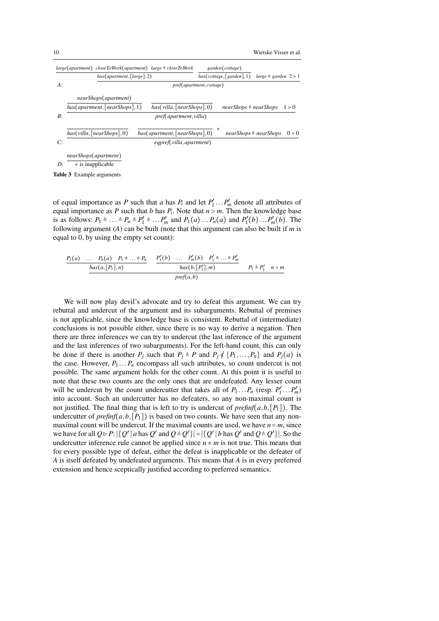|    | $large (apartment)$ closeToWork(apartment) large $\triangleq$ closeToWork |                                          |   | garden(cottage)                  |                                 |         |
|----|---------------------------------------------------------------------------|------------------------------------------|---|----------------------------------|---------------------------------|---------|
|    | has(apartment, [large], 2)                                                |                                          |   | has(cottage, [garden], 1)        | large $\triangleq$ garden 2 > 1 |         |
| A: | pref(apartment, cottage)                                                  |                                          |   |                                  |                                 |         |
|    | nearShops(apartment)                                                      |                                          |   |                                  |                                 |         |
|    | has (apartment, [nearShops], 1)                                           | $has(villa, \lceil nearShops \rceil, 0)$ |   | $nearShops \triangleq nearShops$ |                                 | 1 > 0   |
| B: |                                                                           | pref(apartment, villa)                   |   |                                  |                                 |         |
|    | $has(villa, \lceil nearShops \rceil, 0)$                                  | has (apartment, [nearShops], 0)          | * | $nearShops \triangleq nearShops$ |                                 | $0 = 0$ |
| C: |                                                                           | eqpref(villa, apartment)                 |   |                                  |                                 |         |
|    | nearShops(apartment)                                                      |                                          |   |                                  |                                 |         |
| D: | * is inapplicable                                                         |                                          |   |                                  |                                 |         |
|    | <b>Table 3</b> Example arguments                                          |                                          |   |                                  |                                 |         |

of equal importance as *P* such that *a* has  $P_i$  and let  $P'_1 \dots P'_m$  denote all attributes of equal importance as *P* such that *b* has  $P_i$ . Note that  $n > m$ . Then the knowledge base is as follows:  $P_1 \triangleq ... \triangleq P_n \triangleq P'_1 \triangleq ... P'_m$  and  $P_1(a) ... P_n(a)$  and  $P'_1(b) ... P'_m(b)$ . The following argument (*A*) can be built (note that this argument can also be built if *m* is equal to 0, by using the empty set count):

$$
\frac{P_1(a) \dots P_n(a) \quad P_1 \triangleq \dots \triangleq P_n}{has(a, [P_1], n)} \quad \frac{P'_1(b) \quad \dots \quad P'_m(b) \quad P'_1 \triangleq \dots \triangleq P'_m}{has(b, [P'_1], m)} \quad P_1 \triangleq P'_1 \quad n > m}
$$
\n
$$
pref(a, b)
$$

We will now play devil's advocate and try to defeat this argument. We can try rebuttal and undercut of the argument and its subarguments. Rebuttal of premises is not applicable, since the knowledge base is consistent. Rebuttal of (intermediate) conclusions is not possible either, since there is no way to derive a negation. Then there are three inferences we can try to undercut (the last inference of the argument and the last inferences of two subarguments). For the left-hand count, this can only be done if there is another  $P_j$  such that  $P_j \triangleq P$  and  $P_j \notin \{P_1, \ldots, P_n\}$  and  $P_j(a)$  is the case. However,  $P_1 \nldots P_n$  encompass all such attributes, so count undercut is not possible. The same argument holds for the other count. At this point it is useful to note that these two counts are the only ones that are undefeated. Any lesser count will be undercut by the count undercutter that takes all of  $P_1 \dots P_n$  (resp.  $P'_1 \dots P'_m$ ) into account. Such an undercutter has no defeaters, so any non-maximal count is not justified. The final thing that is left to try is undercut of *prefinf*( $a, b, [P_1]$ ). The undercutter of *prefinf*( $a, b, [P_1]$ ) is based on two counts. We have seen that any nonmaximal count will be undercut. If the maximal counts are used, we have  $n = m$ , since we have for all  $Q \triangleright P$ :  $|\{Q' | a \text{ has } Q' \text{ and } Q \triangleq Q'\}| = |\{Q' | b \text{ has } Q' \text{ and } Q \triangleq Q'\}|$ . So the undercutter inference rule cannot be applied since  $n \neq m$  is not true. This means that for every possible type of defeat, either the defeat is inapplicable or the defeater of *A* is itself defeated by undefeated arguments. This means that *A* is in every preferred extension and hence sceptically justified according to preferred semantics.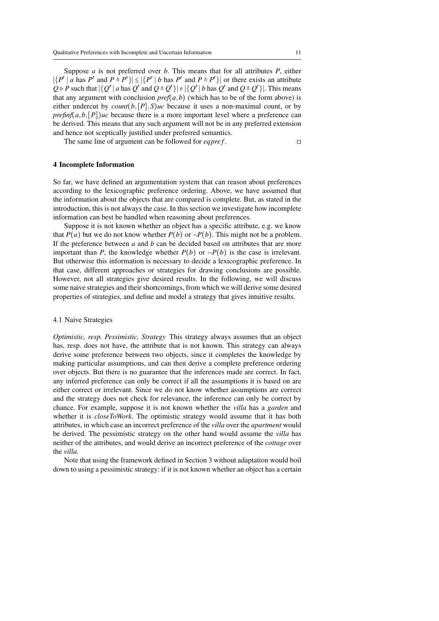Suppose *a* is not preferred over *b*. This means that for all attributes *P*, either |{ $P'$  | *a* has  $P'$  and  $P \triangleq P'$ }| ≤ |{ $P'$  | *b* has  $P'$  and  $P \triangleq P'$ }| or there exists an attribute *Q* ⊳ *P* such that  $|\{Q' \mid a \text{ has } Q' \text{ and } Q \triangleq Q'\}|$  ≠  $|\{Q' \mid b \text{ has } Q' \text{ and } Q \triangleq Q'\}|$ . This means that any argument with conclusion  $pref(a,b)$  (which has to be of the form above) is either undercut by  $count(b, [P], S)$ *uc* because it uses a non-maximal count, or by *prefinf*( $a$ , $b$ ,  $[P]$ )*uc* because there is a more important level where a preference can be derived. This means that any such argument will not be in any preferred extension and hence not sceptically justified under preferred semantics.

The same line of argument can be followed for *eqpref*. □

#### 4 Incomplete Information

So far, we have defined an argumentation system that can reason about preferences according to the lexicographic preference ordering. Above, we have assumed that the information about the objects that are compared is complete. But, as stated in the introduction, this is not always the case. In this section we investigate how incomplete information can best be handled when reasoning about preferences.

Suppose it is not known whether an object has a specific attribute, e.g. we know that  $P(a)$  but we do not know whether  $P(b)$  or  $\neg P(b)$ . This might not be a problem. If the preference between *a* and *b* can be decided based on attributes that are more important than *P*, the knowledge whether  $P(b)$  or  $\neg P(b)$  is the case is irrelevant. But otherwise this information is necessary to decide a lexicographic preference. In that case, different approaches or strategies for drawing conclusions are possible. However, not all strategies give desired results. In the following, we will discuss some naive strategies and their shortcomings, from which we will derive some desired properties of strategies, and define and model a strategy that gives intuitive results.

#### 4.1 Naive Strategies

*Optimistic, resp. Pessimistic, Strategy* This strategy always assumes that an object has, resp. does not have, the attribute that is not known. This strategy can always derive some preference between two objects, since it completes the knowledge by making particular assumptions, and can then derive a complete preference ordering over objects. But there is no guarantee that the inferences made are correct. In fact, any inferred preference can only be correct if all the assumptions it is based on are either correct or irrelevant. Since we do not know whether assumptions are correct and the strategy does not check for relevance, the inference can only be correct by chance. For example, suppose it is not known whether the *villa* has a *garden* and whether it is *closeToWork*. The optimistic strategy would assume that it has both attributes, in which case an incorrect preference of the *villa* over the *apartment* would be derived. The pessimistic strategy on the other hand would assume the *villa* has neither of the attributes, and would derive an incorrect preference of the *cottage* over the *villa*.

Note that using the framework defined in Section 3 without adaptation would boil down to using a pessimistic strategy: if it is not known whether an object has a certain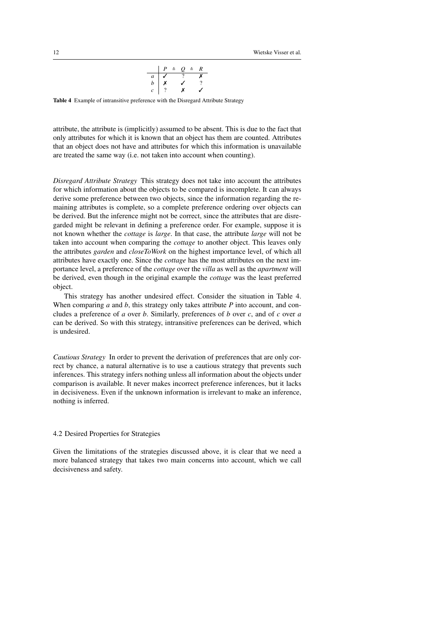

Table 4 Example of intransitive preference with the Disregard Attribute Strategy

attribute, the attribute is (implicitly) assumed to be absent. This is due to the fact that only attributes for which it is known that an object has them are counted. Attributes that an object does not have and attributes for which this information is unavailable are treated the same way (i.e. not taken into account when counting).

*Disregard Attribute Strategy* This strategy does not take into account the attributes for which information about the objects to be compared is incomplete. It can always derive some preference between two objects, since the information regarding the remaining attributes is complete, so a complete preference ordering over objects can be derived. But the inference might not be correct, since the attributes that are disregarded might be relevant in defining a preference order. For example, suppose it is not known whether the *cottage* is *large*. In that case, the attribute *large* will not be taken into account when comparing the *cottage* to another object. This leaves only the attributes *garden* and *closeToWork* on the highest importance level, of which all attributes have exactly one. Since the *cottage* has the most attributes on the next importance level, a preference of the *cottage* over the *villa* as well as the *apartment* will be derived, even though in the original example the *cottage* was the least preferred object.

This strategy has another undesired effect. Consider the situation in Table 4. When comparing *a* and *b*, this strategy only takes attribute *P* into account, and concludes a preference of *a* over *b*. Similarly, preferences of *b* over *c*, and of *c* over *a* can be derived. So with this strategy, intransitive preferences can be derived, which is undesired.

*Cautious Strategy* In order to prevent the derivation of preferences that are only correct by chance, a natural alternative is to use a cautious strategy that prevents such inferences. This strategy infers nothing unless all information about the objects under comparison is available. It never makes incorrect preference inferences, but it lacks in decisiveness. Even if the unknown information is irrelevant to make an inference, nothing is inferred.

#### 4.2 Desired Properties for Strategies

Given the limitations of the strategies discussed above, it is clear that we need a more balanced strategy that takes two main concerns into account, which we call decisiveness and safety.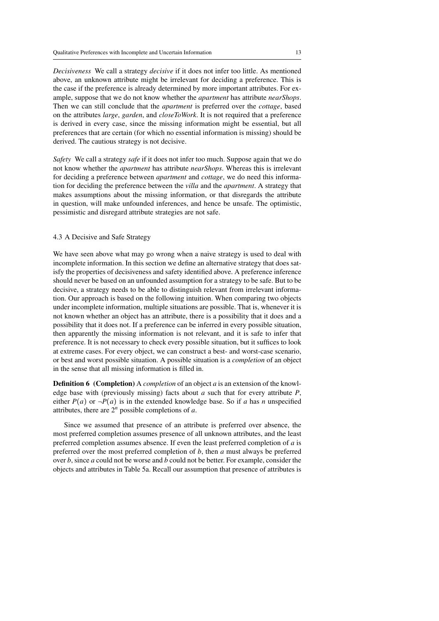*Decisiveness* We call a strategy *decisive* if it does not infer too little. As mentioned above, an unknown attribute might be irrelevant for deciding a preference. This is the case if the preference is already determined by more important attributes. For example, suppose that we do not know whether the *apartment* has attribute *nearShops*. Then we can still conclude that the *apartment* is preferred over the *cottage*, based on the attributes *large*, *garden*, and *closeToWork*. It is not required that a preference is derived in every case, since the missing information might be essential, but all preferences that are certain (for which no essential information is missing) should be derived. The cautious strategy is not decisive.

*Safety* We call a strategy *safe* if it does not infer too much. Suppose again that we do not know whether the *apartment* has attribute *nearShops*. Whereas this is irrelevant for deciding a preference between *apartment* and *cottage*, we do need this information for deciding the preference between the *villa* and the *apartment*. A strategy that makes assumptions about the missing information, or that disregards the attribute in question, will make unfounded inferences, and hence be unsafe. The optimistic, pessimistic and disregard attribute strategies are not safe.

# 4.3 A Decisive and Safe Strategy

We have seen above what may go wrong when a naive strategy is used to deal with incomplete information. In this section we define an alternative strategy that does satisfy the properties of decisiveness and safety identified above. A preference inference should never be based on an unfounded assumption for a strategy to be safe. But to be decisive, a strategy needs to be able to distinguish relevant from irrelevant information. Our approach is based on the following intuition. When comparing two objects under incomplete information, multiple situations are possible. That is, whenever it is not known whether an object has an attribute, there is a possibility that it does and a possibility that it does not. If a preference can be inferred in every possible situation, then apparently the missing information is not relevant, and it is safe to infer that preference. It is not necessary to check every possible situation, but it suffices to look at extreme cases. For every object, we can construct a best- and worst-case scenario, or best and worst possible situation. A possible situation is a *completion* of an object in the sense that all missing information is filled in.

Definition 6 (Completion) A *completion* of an object *a* is an extension of the knowledge base with (previously missing) facts about *a* such that for every attribute *P*, either  $P(a)$  or  $\neg P(a)$  is in the extended knowledge base. So if *a* has *n* unspecified attributes, there are  $2^n$  possible completions of  $a$ .

Since we assumed that presence of an attribute is preferred over absence, the most preferred completion assumes presence of all unknown attributes, and the least preferred completion assumes absence. If even the least preferred completion of *a* is preferred over the most preferred completion of *b*, then *a* must always be preferred over *b*, since *a* could not be worse and *b* could not be better. For example, consider the objects and attributes in Table 5a. Recall our assumption that presence of attributes is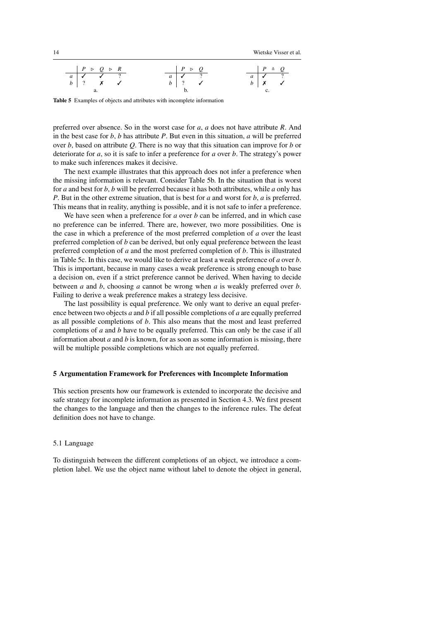14 Wietske Visser et al.

| $P \Rightarrow Q \Rightarrow R$ | $P \Rightarrow Q$  | $P \Rightarrow Q$ |              |
|---------------------------------|--------------------|-------------------|--------------|
| $a$                             | $\checkmark$       | $\checkmark$      | $\checkmark$ |
| $b$                             | $\hat{\checkmark}$ | $\checkmark$      | $\checkmark$ |
| $b$                             | $\hat{\checkmark}$ | $\checkmark$      | $\checkmark$ |
| $b$                             | $\checkmark$       | $\checkmark$      | $\checkmark$ |
| $b$                             | $\checkmark$       | $\checkmark$      | $\checkmark$ |

Table 5 Examples of objects and attributes with incomplete information

preferred over absence. So in the worst case for *a*, *a* does not have attribute *R*. And in the best case for *b*, *b* has attribute *P*. But even in this situation, *a* will be preferred over *b*, based on attribute *Q*. There is no way that this situation can improve for *b* or deteriorate for *a*, so it is safe to infer a preference for *a* over *b*. The strategy's power to make such inferences makes it decisive.

The next example illustrates that this approach does not infer a preference when the missing information is relevant. Consider Table 5b. In the situation that is worst for *a* and best for *b*, *b* will be preferred because it has both attributes, while *a* only has *P*. But in the other extreme situation, that is best for *a* and worst for *b*, *a* is preferred. This means that in reality, anything is possible, and it is not safe to infer a preference.

We have seen when a preference for *a* over *b* can be inferred, and in which case no preference can be inferred. There are, however, two more possibilities. One is the case in which a preference of the most preferred completion of *a* over the least preferred completion of *b* can be derived, but only equal preference between the least preferred completion of *a* and the most preferred completion of *b*. This is illustrated in Table 5c. In this case, we would like to derive at least a weak preference of *a* over *b*. This is important, because in many cases a weak preference is strong enough to base a decision on, even if a strict preference cannot be derived. When having to decide between *a* and *b*, choosing *a* cannot be wrong when *a* is weakly preferred over *b*. Failing to derive a weak preference makes a strategy less decisive.

The last possibility is equal preference. We only want to derive an equal preference between two objects *a* and *b* if all possible completions of *a* are equally preferred as all possible completions of *b*. This also means that the most and least preferred completions of *a* and *b* have to be equally preferred. This can only be the case if all information about *a* and *b* is known, for as soon as some information is missing, there will be multiple possible completions which are not equally preferred.

# 5 Argumentation Framework for Preferences with Incomplete Information

This section presents how our framework is extended to incorporate the decisive and safe strategy for incomplete information as presented in Section 4.3. We first present the changes to the language and then the changes to the inference rules. The defeat definition does not have to change.

## 5.1 Language

To distinguish between the different completions of an object, we introduce a completion label. We use the object name without label to denote the object in general,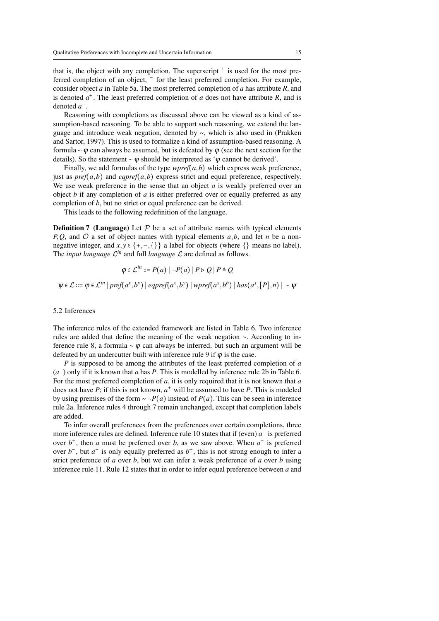that is, the object with any completion. The superscript  $^+$  is used for the most preferred completion of an object,  $^-$  for the least preferred completion. For example, consider object *a* in Table 5a. The most preferred completion of *a* has attribute *R*, and is denoted  $a^+$ . The least preferred completion of  $a$  does not have attribute  $R$ , and is denoted *a*<sup>−</sup>.

Reasoning with completions as discussed above can be viewed as a kind of assumption-based reasoning. To be able to support such reasoning, we extend the language and introduce weak negation, denoted by ∼, which is also used in (Prakken and Sartor, 1997). This is used to formalize a kind of assumption-based reasoning. A formula  $\sim \varphi$  can always be assumed, but is defeated by  $\varphi$  (see the next section for the details). So the statement  $\sim \varphi$  should be interpreted as ' $\varphi$  cannot be derived'.

Finally, we add formulas of the type  $wpref(a,b)$  which express weak preference, just as  $pref(a,b)$  and  $eqpref(a,b)$  express strict and equal preference, respectively. We use weak preference in the sense that an object  $a$  is weakly preferred over an object *b* if any completion of *a* is either preferred over or equally preferred as any completion of *b*, but no strict or equal preference can be derived.

This leads to the following redefinition of the language.

**Definition 7** (Language) Let  $P$  be a set of attribute names with typical elements *P*,*Q*, and  $O$  a set of object names with typical elements  $a$ , $b$ , and let *n* be a nonnegative integer, and  $x, y \in \{+, -, \{\}\}\$ a label for objects (where  $\{\}$  means no label). The *input language*  $\mathcal{L}^{in}$  and full *language*  $\mathcal{L}$  are defined as follows.

$$
\varphi \in \mathcal{L}^{in} ::= P(a) | \neg P(a) | P \triangleright Q | P \triangleq Q
$$

 $\psi \in \mathcal{L} ::= \varphi \in \mathcal{L}^{in} | pref(a^x, b^y) | eqpref(a^x, b^y) | wpref(a^x, b^b) | has(a^x, [P], n) | ~\sim \psi$ 

# 5.2 Inferences

The inference rules of the extended framework are listed in Table 6. Two inference rules are added that define the meaning of the weak negation ∼. According to inference rule 8, a formula ∼ ϕ can always be inferred, but such an argument will be defeated by an undercutter built with inference rule 9 if  $\varphi$  is the case.

*P* is supposed to be among the attributes of the least preferred completion of *a* (*a* − ) only if it is known that *a* has *P*. This is modelled by inference rule 2b in Table 6. For the most preferred completion of *a*, it is only required that it is not known that *a* does not have  $P$ ; if this is not known,  $a^+$  will be assumed to have  $P$ . This is modeled by using premises of the form ∼ ¬*P*(*a*) instead of *P*(*a*). This can be seen in inference rule 2a. Inference rules 4 through 7 remain unchanged, except that completion labels are added.

To infer overall preferences from the preferences over certain completions, three more inference rules are defined. Inference rule 10 states that if (even) *a*<sup>−</sup> is preferred over  $b^+$ , then *a* must be preferred over *b*, as we saw above. When  $a^+$  is preferred over  $b^-$ , but  $a^-$  is only equally preferred as  $b^+$ , this is not strong enough to infer a strict preference of *a* over *b*, but we can infer a weak preference of *a* over *b* using inference rule 11. Rule 12 states that in order to infer equal preference between *a* and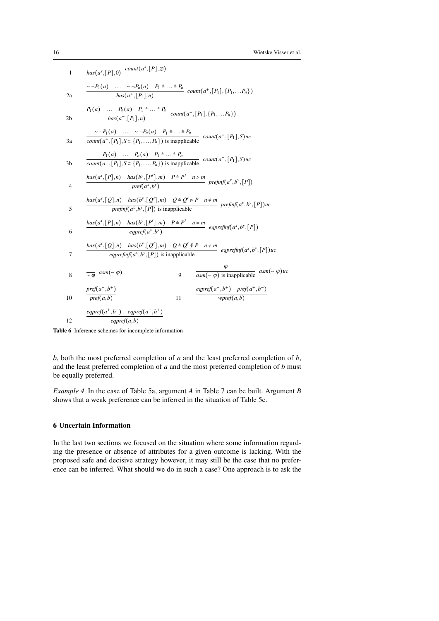1 
$$
\frac{1}{has(a^x,[P],0)}
$$
 count  $(a^x,[P],\emptyset)$   
\n2a  $\frac{A-R_1(a) \dots A-R_n(a) \cdot P_1 \pm \dots \pm P_n}{has(a^+, [P_1], n)}$  count  $(a^+, [P_1], \{P_1, \dots, P_n\})$   
\n2b  $\frac{P_1(a) \dots P_n(a) \cdot P_1 \pm \dots \pm P_n}{has(a^-, [P_1], n)}$  count  $(a^-, [P_1], \{P_1, \dots, P_n\})$   
\n3a  $\frac{A}{count(a^+, [P_1], S \in \{P_1, \dots, P_n\})}$  is inapplicable count  $(a^+, [P_1], S)uc$   
\n3b  $\frac{A}{count(a^-, [P_1], S \in \{P_1, \dots, P_n\})}$  is inapplicable count  $(a^-, [P_1], S)uc$   
\n3c  $\frac{B_1(a) \dots B_n(a) \cdot P_1 \pm \dots \pm P_n}{count(a^-, [P_1], S \in \{P_1, \dots, P_n\})}$  is inapplicable count  $(a^-, [P_1], S)uc$   
\n3d  $\frac{has(a^x,[P], n) \cdot has(b^y,[P'], m) \cdot P \pm P' \cdot n > m}{prefin(a^x, b^y, [P])}$   
\n4a  $\frac{hs(a^x,[Q], n) \cdot has(b^y,[Q'], m) \cdot Q \pm Q' \cdot P \cdot n \pm m}{prefin(a^x, b^y, [P])}$   
\n5b  $\frac{has(a^x,[Q], n) \cdot has(b^y,[Q'], m) \cdot Q \pm Q' \pm P \cdot n \pm m}{eaprefin(a^x, b^y, [P])}$   
\n6b  $\frac{has(a^x,[P], n) \cdot has(b^y,[Q'], m) \cdot P \pm P' \cdot n = m}{eaprefin(a^x, b^y, [P])}$   
\n6c  $\frac{has(a^x,[Q], n) \cdot has(b^y,[Q'], m) \cdot Q \pm Q' \pm P \cdot n \pm m}{eaprefin(a^x, b^y, [P])}$   
\n7d  $\frac{has(a^x,[Q], n) \cdot has(b^y,[Q'], m) \cdot Q \pm Q' \pm P \cdot n \pm m}{eaprefin(a^x$ 

Table 6 Inference schemes for incomplete information

*b*, both the most preferred completion of *a* and the least preferred completion of *b*, and the least preferred completion of *a* and the most preferred completion of *b* must be equally preferred.

*Example 4* In the case of Table 5a, argument *A* in Table 7 can be built. Argument *B* shows that a weak preference can be inferred in the situation of Table 5c.

# 6 Uncertain Information

In the last two sections we focused on the situation where some information regarding the presence or absence of attributes for a given outcome is lacking. With the proposed safe and decisive strategy however, it may still be the case that no preference can be inferred. What should we do in such a case? One approach is to ask the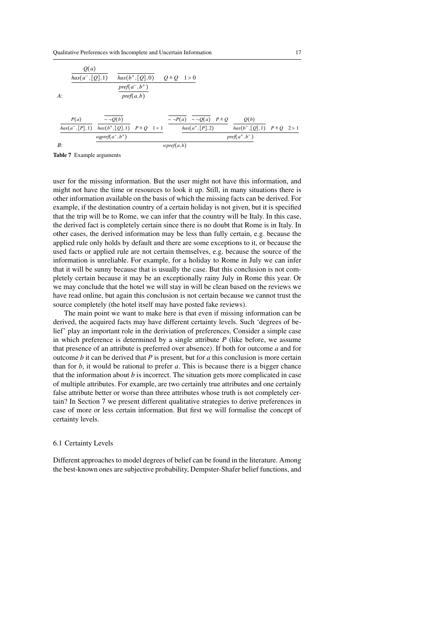

Table 7 Example arguments

user for the missing information. But the user might not have this information, and might not have the time or resources to look it up. Still, in many situations there is other information available on the basis of which the missing facts can be derived. For example, if the destination country of a certain holiday is not given, but it is specified that the trip will be to Rome, we can infer that the country will be Italy. In this case, the derived fact is completely certain since there is no doubt that Rome is in Italy. In other cases, the derived information may be less than fully certain, e.g. because the applied rule only holds by default and there are some exceptions to it, or because the used facts or applied rule are not certain themselves, e.g. because the source of the information is unreliable. For example, for a holiday to Rome in July we can infer that it will be sunny because that is usually the case. But this conclusion is not completely certain because it may be an exceptionally rainy July in Rome this year. Or we may conclude that the hotel we will stay in will be clean based on the reviews we have read online, but again this conclusion is not certain because we cannot trust the source completely (the hotel itself may have posted fake reviews).

The main point we want to make here is that even if missing information can be derived, the acquired facts may have different certainty levels. Such 'degrees of belief' play an important role in the deriviation of preferences. Consider a simple case in which preference is determined by a single attribute *P* (like before, we assume that presence of an attribute is preferred over absence). If both for outcome *a* and for outcome *b* it can be derived that *P* is present, but for *a* this conclusion is more certain than for *b*, it would be rational to prefer *a*. This is because there is a bigger chance that the information about  $b$  is incorrect. The situation gets more complicated in case of multiple attributes. For example, are two certainly true attributes and one certainly false attribute better or worse than three attributes whose truth is not completely certain? In Section 7 we present different qualitative strategies to derive preferences in case of more or less certain information. But first we will formalise the concept of certainty levels.

#### 6.1 Certainty Levels

Different approaches to model degrees of belief can be found in the literature. Among the best-known ones are subjective probability, Dempster-Shafer belief functions, and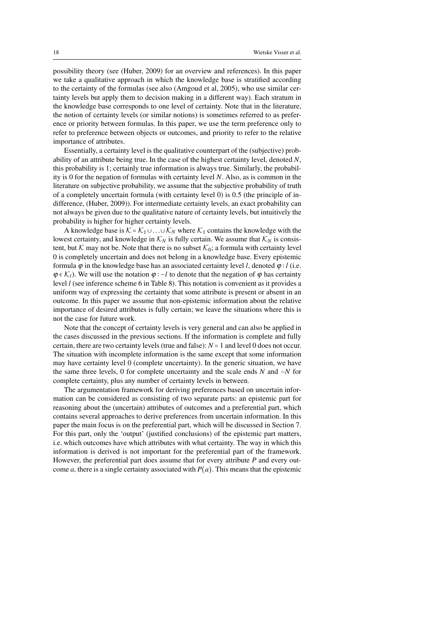possibility theory (see (Huber, 2009) for an overview and references). In this paper we take a qualitative approach in which the knowledge base is stratified according to the certainty of the formulas (see also (Amgoud et al, 2005), who use similar certainty levels but apply them to decision making in a different way). Each stratum in the knowledge base corresponds to one level of certainty. Note that in the literature, the notion of certainty levels (or similar notions) is sometimes referred to as preference or priority between formulas. In this paper, we use the term preference only to refer to preference between objects or outcomes, and priority to refer to the relative importance of attributes.

Essentially, a certainty level is the qualitative counterpart of the (subjective) probability of an attribute being true. In the case of the highest certainty level, denoted *N*, this probability is 1; certainly true information is always true. Similarly, the probability is 0 for the negation of formulas with certainty level *N*. Also, as is common in the literature on subjective probability, we assume that the subjective probability of truth of a completely uncertain formula (with certainty level 0) is 0.5 (the principle of indifference, (Huber, 2009)). For intermediate certainty levels, an exact probability can not always be given due to the qualitative nature of certainty levels, but intuitively the probability is higher for higher certainty levels.

A knowledge base is  $K = \mathcal{K}_1 \cup ... \cup \mathcal{K}_N$  where  $\mathcal{K}_1$  contains the knowledge with the lowest certainty, and knowledge in  $K_N$  is fully certain. We assume that  $K_N$  is consistent, but K may not be. Note that there is no subset  $K_0$ ; a formula with certainty level 0 is completely uncertain and does not belong in a knowledge base. Every epistemic formula  $\varphi$  in the knowledge base has an associated certainty level *l*, denoted  $\varphi$  : *l* (i.e.  $\varphi \in \mathcal{K}_l$ ). We will use the notation  $\varphi : -l$  to denote that the negation of  $\varphi$  has certainty level *l* (see inference scheme 6 in Table 8). This notation is convenient as it provides a uniform way of expressing the certainty that some attribute is present or absent in an outcome. In this paper we assume that non-epistemic information about the relative importance of desired attributes is fully certain; we leave the situations where this is not the case for future work.

Note that the concept of certainty levels is very general and can also be applied in the cases discussed in the previous sections. If the information is complete and fully certain, there are two certainty levels (true and false):  $N = 1$  and level 0 does not occur. The situation with incomplete information is the same except that some information may have certainty level 0 (complete uncertainty). In the generic situation, we have the same three levels, 0 for complete uncertainty and the scale ends *N* and −*N* for complete certainty, plus any number of certainty levels in between.

The argumentation framework for deriving preferences based on uncertain information can be considered as consisting of two separate parts: an epistemic part for reasoning about the (uncertain) attributes of outcomes and a preferential part, which contains several approaches to derive preferences from uncertain information. In this paper the main focus is on the preferential part, which will be discussed in Section 7. For this part, only the 'output' (justified conclusions) of the epistemic part matters, i.e. which outcomes have which attributes with what certainty. The way in which this information is derived is not important for the preferential part of the framework. However, the preferential part does assume that for every attribute *P* and every outcome *a*, there is a single certainty associated with  $P(a)$ . This means that the epistemic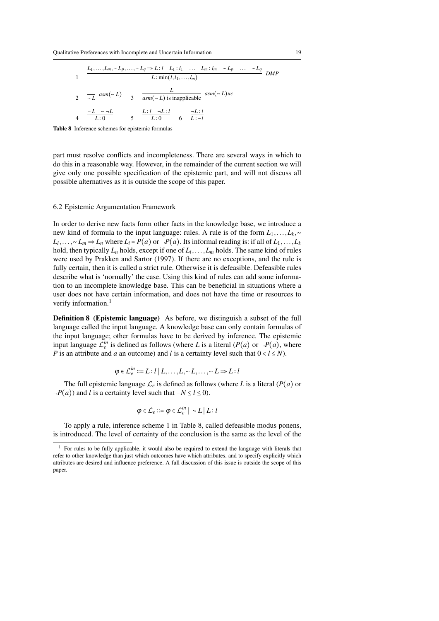$$
L_1, ..., L_m, \sim L_p, ..., \sim L_q \Rightarrow L : l \quad L_1 : l_1 \quad ... \quad L_m : l_m \sim L_p \quad ... \quad \sim L_q
$$
\n
$$
L : \min(l, l_1, ..., l_m)
$$
\n
$$
2 \quad \overline{\sim L} \quad asm(\sim L) \quad 3 \quad \overline{asm(\sim L)} \text{ is inapplicable} \quad asm(\sim L) \text{uc}
$$
\n
$$
4 \quad \frac{\sim L \quad \sim \neg L}{L : 0} \quad 5 \quad \frac{L : l \quad \neg L : l}{L : 0} \quad 6 \quad \frac{\neg L : l}{L : -l}
$$

Table 8 Inference schemes for epistemic formulas

part must resolve conflicts and incompleteness. There are several ways in which to do this in a reasonable way. However, in the remainder of the current section we will give only one possible specification of the epistemic part, and will not discuss all possible alternatives as it is outside the scope of this paper.

## 6.2 Epistemic Argumentation Framework

In order to derive new facts form other facts in the knowledge base, we introduce a new kind of formula to the input language: rules. A rule is of the form *L*1,...,*L<sup>k</sup>* ,∼  $L_l$ ,...,∼ $L_m$  ⇒  $L_n$  where  $L_i = P(a)$  or ¬ $P(a)$ . Its informal reading is: if all of  $L_1$ ,..., $L_k$ hold, then typically *L<sup>n</sup>* holds, except if one of *L<sup>l</sup>* ,...,*L<sup>m</sup>* holds. The same kind of rules were used by Prakken and Sartor (1997). If there are no exceptions, and the rule is fully certain, then it is called a strict rule. Otherwise it is defeasible. Defeasible rules describe what is 'normally' the case. Using this kind of rules can add some information to an incomplete knowledge base. This can be beneficial in situations where a user does not have certain information, and does not have the time or resources to verify information.<sup>1</sup>

Definition 8 (Epistemic language) As before, we distinguish a subset of the full language called the input language. A knowledge base can only contain formulas of the input language; other formulas have to be derived by inference. The epistemic input language  $\mathcal{L}_e^{in}$  is defined as follows (where *L* is a literal (*P*(*a*) or  $\neg P(a)$ , where *P* is an attribute and *a* an outcome) and *l* is a certainty level such that  $0 < l \le N$ .

$$
\varphi \in \mathcal{L}^{in}_e ::= L : l \mid L, \dots, L, \sim L, \dots, \sim L \Rightarrow L : l
$$

The full epistemic language  $\mathcal{L}_e$  is defined as follows (where *L* is a literal ( $P(a)$ ) or  $\neg P(a)$  and *l* is a certainty level such that  $-N \le l \le 0$ .

$$
\varphi \in \mathcal{L}_e ::= \varphi \in \mathcal{L}_e^{in} \mid \text{ }\sim L \mid L : l
$$

To apply a rule, inference scheme 1 in Table 8, called defeasible modus ponens, is introduced. The level of certainty of the conclusion is the same as the level of the

<sup>&</sup>lt;sup>1</sup> For rules to be fully applicable, it would also be required to extend the language with literals that refer to other knowledge than just which outcomes have which attributes, and to specify explicitly which attributes are desired and influence preference. A full discussion of this issue is outside the scope of this paper.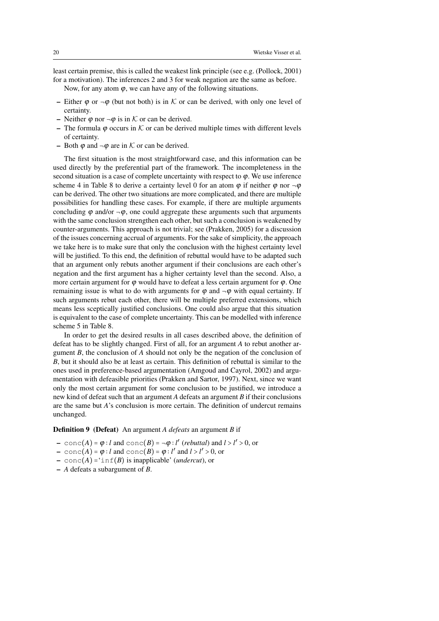least certain premise, this is called the weakest link principle (see e.g. (Pollock, 2001) for a motivation). The inferences 2 and 3 for weak negation are the same as before.

Now, for any atom  $\varphi$ , we can have any of the following situations.

- Either  $\varphi$  or  $\neg \varphi$  (but not both) is in K or can be derived, with only one level of certainty.
- Neither  $\varphi$  nor  $\neg \varphi$  is in K or can be derived.
- The formula  $\varphi$  occurs in K or can be derived multiple times with different levels of certainty.
- Both  $\varphi$  and  $\neg \varphi$  are in K or can be derived.

The first situation is the most straightforward case, and this information can be used directly by the preferential part of the framework. The incompleteness in the second situation is a case of complete uncertainty with respect to  $\varphi$ . We use inference scheme 4 in Table 8 to derive a certainty level 0 for an atom  $\varphi$  if neither  $\varphi$  nor  $\neg \varphi$ can be derived. The other two situations are more complicated, and there are multiple possibilities for handling these cases. For example, if there are multiple arguments concluding  $\varphi$  and/or  $\neg \varphi$ , one could aggregate these arguments such that arguments with the same conclusion strengthen each other, but such a conclusion is weakened by counter-arguments. This approach is not trivial; see (Prakken, 2005) for a discussion of the issues concerning accrual of arguments. For the sake of simplicity, the approach we take here is to make sure that only the conclusion with the highest certainty level will be justified. To this end, the definition of rebuttal would have to be adapted such that an argument only rebuts another argument if their conclusions are each other's negation and the first argument has a higher certainty level than the second. Also, a more certain argument for  $\varphi$  would have to defeat a less certain argument for  $\varphi$ . One remaining issue is what to do with arguments for  $\varphi$  and  $\neg \varphi$  with equal certainty. If such arguments rebut each other, there will be multiple preferred extensions, which means less sceptically justified conclusions. One could also argue that this situation is equivalent to the case of complete uncertainty. This can be modelled with inference scheme 5 in Table 8.

In order to get the desired results in all cases described above, the definition of defeat has to be slightly changed. First of all, for an argument *A* to rebut another argument *B*, the conclusion of *A* should not only be the negation of the conclusion of *B*, but it should also be at least as certain. This definition of rebuttal is similar to the ones used in preference-based argumentation (Amgoud and Cayrol, 2002) and argumentation with defeasible priorities (Prakken and Sartor, 1997). Next, since we want only the most certain argument for some conclusion to be justified, we introduce a new kind of defeat such that an argument *A* defeats an argument *B* if their conclusions are the same but *A*'s conclusion is more certain. The definition of undercut remains unchanged.

#### Definition 9 (Defeat) An argument *A defeats* an argument *B* if

- $\rightarrow$  conc(*A*) =  $\varphi$  : *l* and conc(*B*) =  $\neg \varphi$  : *l'* (*rebuttal*) and *l* > *l'* > 0, or
- $-$  conc $(A) = \varphi : l$  and conc $(B) = \varphi : l'$  and  $l > l' > 0$ , or
- $-$  conc(A) = 'inf(B) is inapplicable' (*undercut*), or
- *A* defeats a subargument of *B*.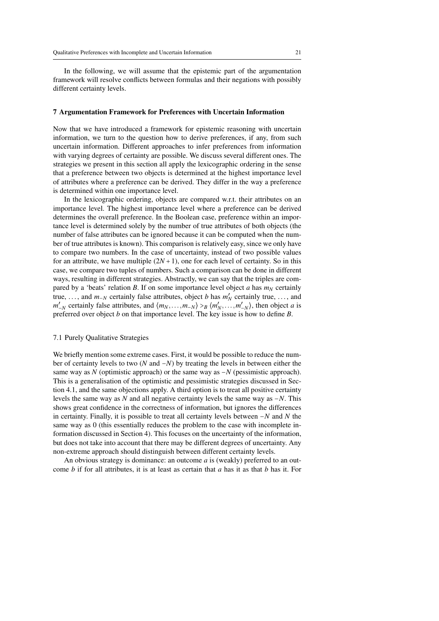In the following, we will assume that the epistemic part of the argumentation framework will resolve conflicts between formulas and their negations with possibly different certainty levels.

### 7 Argumentation Framework for Preferences with Uncertain Information

Now that we have introduced a framework for epistemic reasoning with uncertain information, we turn to the question how to derive preferences, if any, from such uncertain information. Different approaches to infer preferences from information with varying degrees of certainty are possible. We discuss several different ones. The strategies we present in this section all apply the lexicographic ordering in the sense that a preference between two objects is determined at the highest importance level of attributes where a preference can be derived. They differ in the way a preference is determined within one importance level.

In the lexicographic ordering, objects are compared w.r.t. their attributes on an importance level. The highest importance level where a preference can be derived determines the overall preference. In the Boolean case, preference within an importance level is determined solely by the number of true attributes of both objects (the number of false attributes can be ignored because it can be computed when the number of true attributes is known). This comparison is relatively easy, since we only have to compare two numbers. In the case of uncertainty, instead of two possible values for an attribute, we have multiple  $(2N + 1)$ , one for each level of certainty. So in this case, we compare two tuples of numbers. Such a comparison can be done in different ways, resulting in different strategies. Abstractly, we can say that the triples are compared by a 'beats' relation *B*. If on some importance level object *a* has  $m<sub>N</sub>$  certainly true, ..., and  $m_{-N}$  certainly false attributes, object *b* has  $m'_{N}$  certainly true, ..., and  $m'_{-N}$  certainly false attributes, and  $\langle m_N, \ldots, m_{-N} \rangle >_B \langle m'_N, \ldots, m'_{-N} \rangle$ , then object *a* is preferred over object *b* on that importance level. The key issue is how to define *B*.

## 7.1 Purely Qualitative Strategies

We briefly mention some extreme cases. First, it would be possible to reduce the number of certainty levels to two (*N* and −*N*) by treating the levels in between either the same way as *N* (optimistic approach) or the same way as  $-N$  (pessimistic approach). This is a generalisation of the optimistic and pessimistic strategies discussed in Section 4.1, and the same objections apply. A third option is to treat all positive certainty levels the same way as *N* and all negative certainty levels the same way as −*N*. This shows great confidence in the correctness of information, but ignores the differences in certainty. Finally, it is possible to treat all certainty levels between −*N* and *N* the same way as 0 (this essentially reduces the problem to the case with incomplete information discussed in Section 4). This focuses on the uncertainty of the information, but does not take into account that there may be different degrees of uncertainty. Any non-extreme approach should distinguish between different certainty levels.

An obvious strategy is dominance: an outcome *a* is (weakly) preferred to an outcome *b* if for all attributes, it is at least as certain that *a* has it as that *b* has it. For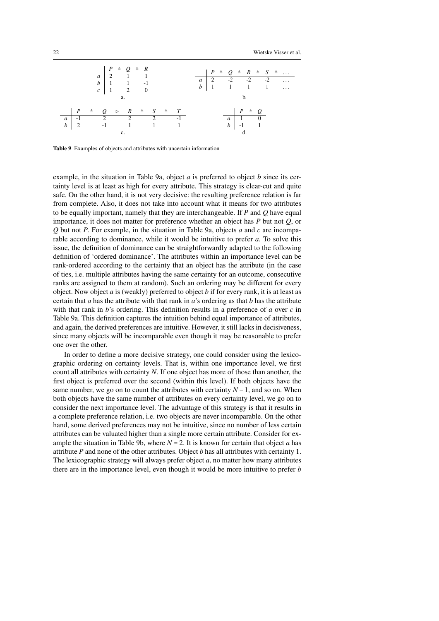

Table 9 Examples of objects and attributes with uncertain information

example, in the situation in Table 9a, object *a* is preferred to object *b* since its certainty level is at least as high for every attribute. This strategy is clear-cut and quite safe. On the other hand, it is not very decisive: the resulting preference relation is far from complete. Also, it does not take into account what it means for two attributes to be equally important, namely that they are interchangeable. If *P* and *Q* have equal importance, it does not matter for preference whether an object has *P* but not *Q*, or *Q* but not *P*. For example, in the situation in Table 9a, objects *a* and *c* are incomparable according to dominance, while it would be intuitive to prefer *a*. To solve this issue, the definition of dominance can be straightforwardly adapted to the following definition of 'ordered dominance'. The attributes within an importance level can be rank-ordered according to the certainty that an object has the attribute (in the case of ties, i.e. multiple attributes having the same certainty for an outcome, consecutive ranks are assigned to them at random). Such an ordering may be different for every object. Now object *a* is (weakly) preferred to object *b* if for every rank, it is at least as certain that *a* has the attribute with that rank in *a*'s ordering as that *b* has the attribute with that rank in *b*'s ordering. This definition results in a preference of *a* over *c* in Table 9a. This definition captures the intuition behind equal importance of attributes, and again, the derived preferences are intuitive. However, it still lacks in decisiveness, since many objects will be incomparable even though it may be reasonable to prefer one over the other.

In order to define a more decisive strategy, one could consider using the lexicographic ordering on certainty levels. That is, within one importance level, we first count all attributes with certainty *N*. If one object has more of those than another, the first object is preferred over the second (within this level). If both objects have the same number, we go on to count the attributes with certainty  $N-1$ , and so on. When both objects have the same number of attributes on every certainty level, we go on to consider the next importance level. The advantage of this strategy is that it results in a complete preference relation, i.e. two objects are never incomparable. On the other hand, some derived preferences may not be intuitive, since no number of less certain attributes can be valuated higher than a single more certain attribute. Consider for example the situation in Table 9b, where  $N = 2$ . It is known for certain that object *a* has attribute *P* and none of the other attributes. Object *b* has all attributes with certainty 1. The lexicographic strategy will always prefer object *a*, no matter how many attributes there are in the importance level, even though it would be more intuitive to prefer *b*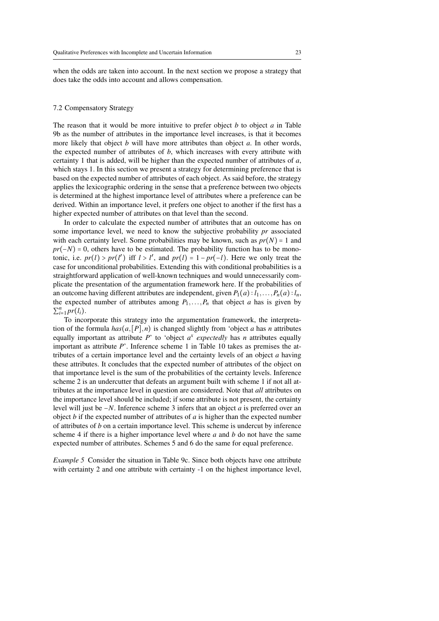when the odds are taken into account. In the next section we propose a strategy that does take the odds into account and allows compensation.

# 7.2 Compensatory Strategy

The reason that it would be more intuitive to prefer object *b* to object *a* in Table 9b as the number of attributes in the importance level increases, is that it becomes more likely that object *b* will have more attributes than object *a*. In other words, the expected number of attributes of *b*, which increases with every attribute with certainty 1 that is added, will be higher than the expected number of attributes of *a*, which stays 1. In this section we present a strategy for determining preference that is based on the expected number of attributes of each object. As said before, the strategy applies the lexicographic ordering in the sense that a preference between two objects is determined at the highest importance level of attributes where a preference can be derived. Within an importance level, it prefers one object to another if the first has a higher expected number of attributes on that level than the second.

In order to calculate the expected number of attributes that an outcome has on some importance level, we need to know the subjective probability *pr* associated with each certainty level. Some probabilities may be known, such as  $pr(N) = 1$  and  $pr(-N) = 0$ , others have to be estimated. The probability function has to be monotonic, i.e.  $pr(l) > pr(l')$  iff  $l > l'$ , and  $pr(l) = 1 - pr(-l)$ . Here we only treat the case for unconditional probabilities. Extending this with conditional probabilities is a straightforward application of well-known techniques and would unnecessarily complicate the presentation of the argumentation framework here. If the probabilities of an outcome having different attributes are independent, given  $P_1(a): l_1, \ldots, P_n(a): l_n$ , the expected number of attributes among  $P_1, \ldots, P_n$  that object *a* has is given by  $\sum_{i=1}^n pr(l_i)$ .

To incorporate this strategy into the argumentation framework, the interpretation of the formula  $has(a, [P], n)$  is changed slightly from 'object *a* has *n* attributes equally important as attribute  $P'$  to 'object  $a^x$  expectedly has *n* attributes equally important as attribute *P*'. Inference scheme 1 in Table 10 takes as premises the attributes of a certain importance level and the certainty levels of an object *a* having these attributes. It concludes that the expected number of attributes of the object on that importance level is the sum of the probabilities of the certainty levels. Inference scheme 2 is an undercutter that defeats an argument built with scheme 1 if not all attributes at the importance level in question are considered. Note that *all* attributes on the importance level should be included; if some attribute is not present, the certainty level will just be −*N*. Inference scheme 3 infers that an object *a* is preferred over an object  $b$  if the expected number of attributes of  $a$  is higher than the expected number of attributes of *b* on a certain importance level. This scheme is undercut by inference scheme 4 if there is a higher importance level where *a* and *b* do not have the same expected number of attributes. Schemes 5 and 6 do the same for equal preference.

*Example 5* Consider the situation in Table 9c. Since both objects have one attribute with certainty 2 and one attribute with certainty -1 on the highest importance level,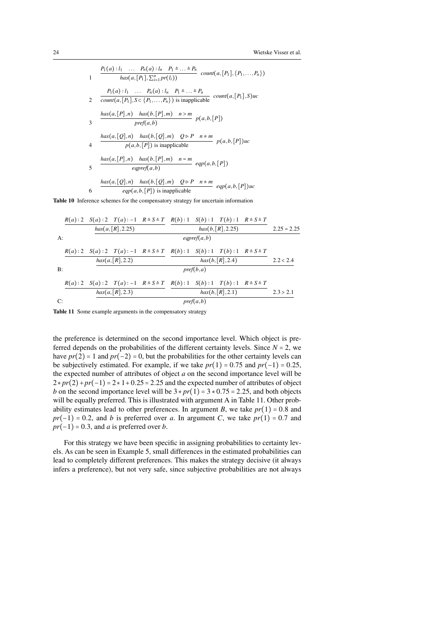$$
\frac{P_1(a):l_1 \cdots P_n(a):l_n \quad P_1 \triangleq \ldots \triangleq P_n}{has(a,[P_1],\sum_{i=1}^n pr(l_i))} count(a,[P_1],\{P_1,\ldots,P_n\})
$$
\n
$$
\frac{P_1(a):l_1 \cdots P_n(a):l_n \quad P_1 \triangleq \ldots \triangleq P_n}{count(a,[P_1],S \subset \{P_1,\ldots,P_n\}) \text{ is inapplicable} } count(a,[P_1],S)uc
$$
\n
$$
\frac{has(a,[P],n) \quad has(b,[P],m) \quad n>m}{pref(a,b)} \quad p(a,b,[P])
$$
\n
$$
\frac{has(a,[Q],n) \quad has(b,[Q],m) \quad Q \triangleright P \quad n \neq m}{p(a,b,[P])uc}
$$
\n
$$
\frac{has(a,[P],n) \quad has(b,[P],m) \quad n=m}{egpref(a,b)} \quad eqp(a,b,[P])}
$$
\n
$$
\frac{has(a,[Q],n) \quad has(b,[Q],m) \quad Q \triangleright P \quad n \neq m}{eqp(a,b,[P])uc}
$$
\n
$$
\frac{has(a,[Q],n) \quad has(b,[Q],m) \quad Q \triangleright P \quad n \neq m}{eqp(a,b,[P])uc}
$$

Table 10 Inference schemes for the compensatory strategy for uncertain information

$$
\frac{R(a):2 \quad S(a):2 \quad T(a):-1 \quad R \triangleq S \triangleq T}{\text{has}(a,[R],2.25)} \quad \frac{R(b):1 \quad S(b):1 \quad T(b):1 \quad R \triangleq S \triangleq T}{\text{has}(b,[R],2.25)} \quad 2.25 = 2.25
$$
\nA:  
\n
$$
\frac{R(a):2 \quad S(a):2 \quad T(a):-1 \quad R \triangleq S \triangleq T}{\text{has}(a,[R],2.2)} \quad \frac{R(b):1 \quad S(b):1 \quad T(b):1 \quad R \triangleq S \triangleq T}{\text{has}(b,[R],2.4)} \quad 2.2 < 2.4
$$
\nB:  
\n
$$
\frac{R(a):2 \quad S(a):2 \quad T(a):-1 \quad R \triangleq S \triangleq T}{\text{has}(a,[R],2.3)} \quad \frac{R(b):1 \quad S(b):1 \quad T(b):1 \quad R \triangleq S \triangleq T}{\text{has}(b,[R],2.1)} \quad 2.3 > 2.1
$$
\nC:  
\n
$$
\frac{\text{has}(a,[R],2.3)}{\text{pres}(a,b)} \quad \frac{\text{has}(b,[R],2.1)}{\text{pres}(a,b)} \quad 2.3 > 2.1
$$

Table 11 Some example arguments in the compensatory strategy

the preference is determined on the second importance level. Which object is preferred depends on the probabilities of the different certainty levels. Since  $N = 2$ , we have  $pr(2) = 1$  and  $pr(-2) = 0$ , but the probabilities for the other certainty levels can be subjectively estimated. For example, if we take  $pr(1) = 0.75$  and  $pr(-1) = 0.25$ , the expected number of attributes of object *a* on the second importance level will be  $2 \times pr(2) + pr(-1) = 2 \times 1 + 0.25 = 2.25$  and the expected number of attributes of object *b* on the second importance level will be  $3 * pr(1) = 3 * 0.75 = 2.25$ , and both objects will be equally preferred. This is illustrated with argument A in Table 11. Other probability estimates lead to other preferences. In argument *B*, we take  $pr(1) = 0.8$  and  $pr(-1) = 0.2$ , and *b* is preferred over *a*. In argument *C*, we take  $pr(1) = 0.7$  and  $pr(-1) = 0.3$ , and *a* is preferred over *b*.

For this strategy we have been specific in assigning probabilities to certainty levels. As can be seen in Example 5, small differences in the estimated probabilities can lead to completely different preferences. This makes the strategy decisive (it always infers a preference), but not very safe, since subjective probabilities are not always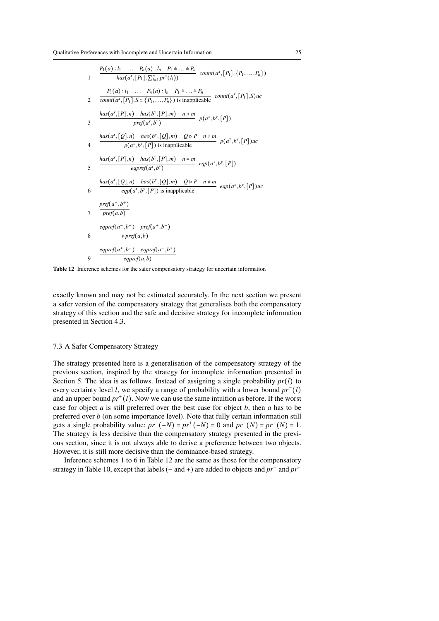| 1              | $\frac{P_1(a):l_1 \dots P_n(a):l_n \quad P_1 \triangleq \dots \triangleq P_n}{has(a^x,[P_1],\sum_{i=1}^n pr^x(l_i))}$ count $(a^x,[P_1],\{P_1,\dots,P_n\})$                                                                                                                                                                      |
|----------------|----------------------------------------------------------------------------------------------------------------------------------------------------------------------------------------------------------------------------------------------------------------------------------------------------------------------------------|
| $\overline{2}$ | $P_1(a): l_1 \dots P_n(a): l_n \quad P_1 \triangleq \dots \triangleq P_n$<br>$count(a^x, [P_1], S \subset \{P_1, \dots, P_n\})$ is inapplicable $count(a^x, [P_1], S)$ uc                                                                                                                                                        |
| 3              | $\frac{has(a^x,[P],n) \quad has(b^y,[P],m) \quad n>m}{\text{arof}(a^x,b^y)} \quad p(a^x,b^y,[P])$<br>$\overline{pref(a^x,b^y)}$                                                                                                                                                                                                  |
| $\overline{4}$ | $p(a^x, b^y, \overline{[P]})$ is inapplicable                                                                                                                                                                                                                                                                                    |
| 5              | $\frac{has(\boldsymbol{\alpha}^{\boldsymbol{x}},[P],\boldsymbol{n})-has(\boldsymbol{b}^{\boldsymbol{y}},[P],\boldsymbol{m})-n=m}{\text{~cancel}(\boldsymbol{\alpha}^{\boldsymbol{x}},\boldsymbol{b}^{\boldsymbol{y}})} \text{~ } \text{~} \text{~eqp}(\boldsymbol{\alpha}^{\boldsymbol{x}},\boldsymbol{b}^{\boldsymbol{y}},[P])$ |
| 6              | $has(\alpha^x, [Q], n)$ $has(b^y, [Q], m)$ $Q \triangleright P$ $n \neq m$<br>$\longrightarrow$ eqp(a <sup>x</sup> , b <sup>y</sup> ,[P])uc<br>$eqp(a^x, b^y, [P])$ is inapplicable                                                                                                                                              |
| $\overline{7}$ | $\frac{pref(a^-,b^+)}{pref(a,b)}$                                                                                                                                                                                                                                                                                                |
| 8              | $\text{egpref}(a^-,b^+) \quad \text{pref}(a^+,b^-)$<br>wpref(a,b)                                                                                                                                                                                                                                                                |
| 9              | $\text{egpref}(a^+,b^-)$ $\text{egpref}(a^-,b^+)$<br>eapref(a,b)                                                                                                                                                                                                                                                                 |

Table 12 Inference schemes for the safer compensatory strategy for uncertain information

exactly known and may not be estimated accurately. In the next section we present a safer version of the compensatory strategy that generalises both the compensatory strategy of this section and the safe and decisive strategy for incomplete information presented in Section 4.3.

## 7.3 A Safer Compensatory Strategy

The strategy presented here is a generalisation of the compensatory strategy of the previous section, inspired by the strategy for incomplete information presented in Section 5. The idea is as follows. Instead of assigning a single probability *pr*(*l*) to every certainty level *l*, we specify a range of probability with a lower bound *pr*<sup>−</sup> (*l*) and an upper bound  $pr^+(l)$ . Now we can use the same intuition as before. If the worst case for object *a* is still preferred over the best case for object *b*, then *a* has to be preferred over *b* (on some importance level). Note that fully certain information still gets a single probability value:  $pr^{-}(-N) = pr^{+}(-N) = 0$  and  $pr^{-}(N) = pr^{+}(N) = 1$ . The strategy is less decisive than the compensatory strategy presented in the previous section, since it is not always able to derive a preference between two objects. However, it is still more decisive than the dominance-based strategy.

Inference schemes 1 to 6 in Table 12 are the same as those for the compensatory strategy in Table 10, except that labels (− and +) are added to objects and *pr*<sup>−</sup> and *pr*<sup>+</sup>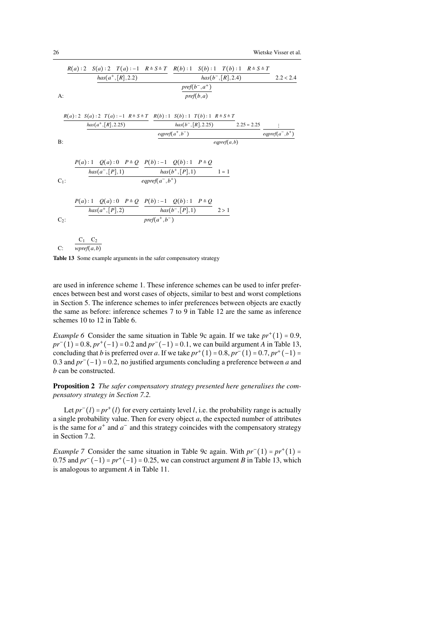

Table 13 Some example arguments in the safer compensatory strategy

are used in inference scheme 1. These inference schemes can be used to infer preferences between best and worst cases of objects, similar to best and worst completions in Section 5. The inference schemes to infer preferences between objects are exactly the same as before: inference schemes 7 to 9 in Table 12 are the same as inference schemes 10 to 12 in Table 6.

*Example 6* Consider the same situation in Table 9c again. If we take  $pr^+(1) = 0.9$ , *pr*<sup>−</sup>(1) = 0.8, *pr*<sup>+</sup>(−1) = 0.2 and *pr*<sup>−</sup>(−1) = 0.1, we can build argument *A* in Table 13, concluding that *b* is preferred over *a*. If we take  $pr^{+}(1) = 0.8$ ,  $pr^{-}(1) = 0.7$ ,  $pr^{+}(-1) =$ 0.3 and *pr*<sup>−</sup> (−1) = 0.2, no justified arguments concluding a preference between *a* and *b* can be constructed.

Proposition 2 *The safer compensatory strategy presented here generalises the compensatory strategy in Section 7.2.*

Let  $pr^{-}(l) = pr^{+}(l)$  for every certainty level *l*, i.e. the probability range is actually a single probability value. Then for every object *a*, the expected number of attributes is the same for  $a^+$  and  $a^-$  and this strategy coincides with the compensatory strategy in Section 7.2.

*Example* 7 Consider the same situation in Table 9c again. With  $pr^{-}(1) = pr^{+}(1)$ 0.75 and  $pr^{-}(-1) = pr^{+}(-1) = 0.25$ , we can construct argument *B* in Table 13, which is analogous to argument *A* in Table 11.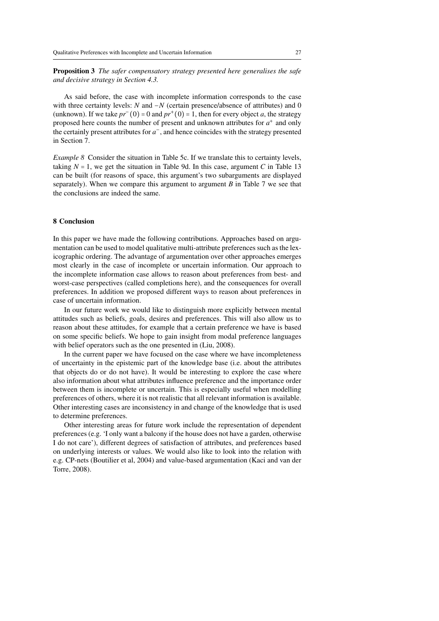Proposition 3 *The safer compensatory strategy presented here generalises the safe and decisive strategy in Section 4.3.*

As said before, the case with incomplete information corresponds to the case with three certainty levels: *N* and −*N* (certain presence/absence of attributes) and 0 (unknown). If we take  $pr^{-}(0) = 0$  and  $pr^{+}(0) = 1$ , then for every object *a*, the strategy proposed here counts the number of present and unknown attributes for  $a<sup>+</sup>$  and only the certainly present attributes for  $a^-$ , and hence coincides with the strategy presented in Section 7.

*Example 8* Consider the situation in Table 5c. If we translate this to certainty levels, taking  $N = 1$ , we get the situation in Table 9d. In this case, argument *C* in Table 13 can be built (for reasons of space, this argument's two subarguments are displayed separately). When we compare this argument to argument *B* in Table 7 we see that the conclusions are indeed the same.

# 8 Conclusion

In this paper we have made the following contributions. Approaches based on argumentation can be used to model qualitative multi-attribute preferences such as the lexicographic ordering. The advantage of argumentation over other approaches emerges most clearly in the case of incomplete or uncertain information. Our approach to the incomplete information case allows to reason about preferences from best- and worst-case perspectives (called completions here), and the consequences for overall preferences. In addition we proposed different ways to reason about preferences in case of uncertain information.

In our future work we would like to distinguish more explicitly between mental attitudes such as beliefs, goals, desires and preferences. This will also allow us to reason about these attitudes, for example that a certain preference we have is based on some specific beliefs. We hope to gain insight from modal preference languages with belief operators such as the one presented in (Liu, 2008).

In the current paper we have focused on the case where we have incompleteness of uncertainty in the epistemic part of the knowledge base (i.e. about the attributes that objects do or do not have). It would be interesting to explore the case where also information about what attributes influence preference and the importance order between them is incomplete or uncertain. This is especially useful when modelling preferences of others, where it is not realistic that all relevant information is available. Other interesting cases are inconsistency in and change of the knowledge that is used to determine preferences.

Other interesting areas for future work include the representation of dependent preferences (e.g. 'I only want a balcony if the house does not have a garden, otherwise I do not care'), different degrees of satisfaction of attributes, and preferences based on underlying interests or values. We would also like to look into the relation with e.g. CP-nets (Boutilier et al, 2004) and value-based argumentation (Kaci and van der Torre, 2008).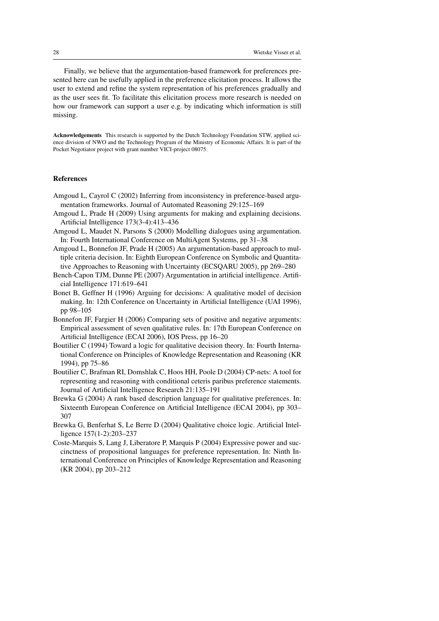Finally, we believe that the argumentation-based framework for preferences presented here can be usefully applied in the preference elicitation process. It allows the user to extend and refine the system representation of his preferences gradually and as the user sees fit. To facilitate this elicitation process more research is needed on how our framework can support a user e.g. by indicating which information is still missing.

Acknowledgements This research is supported by the Dutch Technology Foundation STW, applied science division of NWO and the Technology Program of the Ministry of Economic Affairs. It is part of the Pocket Negotiator project with grant number VICI-project 08075.

#### References

- Amgoud L, Cayrol C (2002) Inferring from inconsistency in preference-based argumentation frameworks. Journal of Automated Reasoning 29:125–169
- Amgoud L, Prade H (2009) Using arguments for making and explaining decisions. Artificial Intelligence 173(3-4):413–436
- Amgoud L, Maudet N, Parsons S (2000) Modelling dialogues using argumentation. In: Fourth International Conference on MultiAgent Systems, pp 31–38
- Amgoud L, Bonnefon JF, Prade H (2005) An argumentation-based approach to multiple criteria decision. In: Eighth European Conference on Symbolic and Quantitative Approaches to Reasoning with Uncertainty (ECSQARU 2005), pp 269–280
- Bench-Capon TJM, Dunne PE (2007) Argumentation in artificial intelligence. Artificial Intelligence 171:619–641
- Bonet B, Geffner H (1996) Arguing for decisions: A qualitative model of decision making. In: 12th Conference on Uncertainty in Artificial Intelligence (UAI 1996), pp 98–105
- Bonnefon JF, Fargier H (2006) Comparing sets of positive and negative arguments: Empirical assessment of seven qualitative rules. In: 17th European Conference on Artificial Intelligence (ECAI 2006), IOS Press, pp 16–20
- Boutilier C (1994) Toward a logic for qualitative decision theory. In: Fourth International Conference on Principles of Knowledge Representation and Reasoning (KR 1994), pp 75–86
- Boutilier C, Brafman RI, Domshlak C, Hoos HH, Poole D (2004) CP-nets: A tool for representing and reasoning with conditional ceteris paribus preference statements. Journal of Artificial Intelligence Research 21:135–191
- Brewka G (2004) A rank based description language for qualitative preferences. In: Sixteenth European Conference on Artificial Intelligence (ECAI 2004), pp 303– 307
- Brewka G, Benferhat S, Le Berre D (2004) Qualitative choice logic. Artificial Intelligence 157(1-2):203–237
- Coste-Marquis S, Lang J, Liberatore P, Marquis P (2004) Expressive power and succinctness of propositional languages for preference representation. In: Ninth International Conference on Principles of Knowledge Representation and Reasoning (KR 2004), pp 203–212